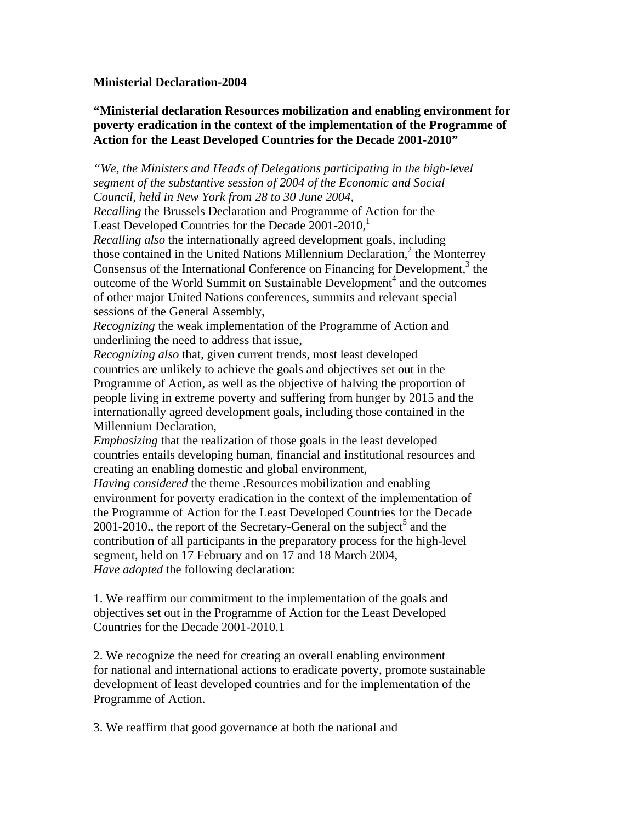## **Ministerial Declaration-2004**

## **"Ministerial declaration Resources mobilization and enabling environment for poverty eradication in the context of the implementation of the Programme of Action for the Least Developed Countries for the Decade 2001-2010"**

*"We, the Ministers and Heads of Delegations participating in the high-level segment of the substantive session of 2004 of the Economic and Social Council, held in New York from 28 to 30 June 2004,* 

*Recalling* the Brussels Declaration and Programme of Action for the Least Developed Countries for the Decade  $2001-2010$ ,

*Recalling also* the internationally agreed development goals, including those contained in the United Nations Millennium Declaration,<sup>2</sup> the Monterrey Consensus of the International Conference on Financing for Development,<sup>3</sup> the outcome of the World Summit on Sustainable Development<sup>4</sup> and the outcomes of other major United Nations conferences, summits and relevant special sessions of the General Assembly,

*Recognizing* the weak implementation of the Programme of Action and underlining the need to address that issue,

*Recognizing also* that, given current trends, most least developed countries are unlikely to achieve the goals and objectives set out in the Programme of Action, as well as the objective of halving the proportion of people living in extreme poverty and suffering from hunger by 2015 and the internationally agreed development goals, including those contained in the Millennium Declaration,

*Emphasizing* that the realization of those goals in the least developed countries entails developing human, financial and institutional resources and creating an enabling domestic and global environment,

*Having considered* the theme .Resources mobilization and enabling environment for poverty eradication in the context of the implementation of the Programme of Action for the Least Developed Countries for the Decade 2001-2010., the report of the Secretary-General on the subject<sup>5</sup> and the contribution of all participants in the preparatory process for the high-level segment, held on 17 February and on 17 and 18 March 2004, *Have adopted* the following declaration:

1. We reaffirm our commitment to the implementation of the goals and objectives set out in the Programme of Action for the Least Developed Countries for the Decade 2001-2010.1

2. We recognize the need for creating an overall enabling environment for national and international actions to eradicate poverty, promote sustainable development of least developed countries and for the implementation of the Programme of Action.

3. We reaffirm that good governance at both the national and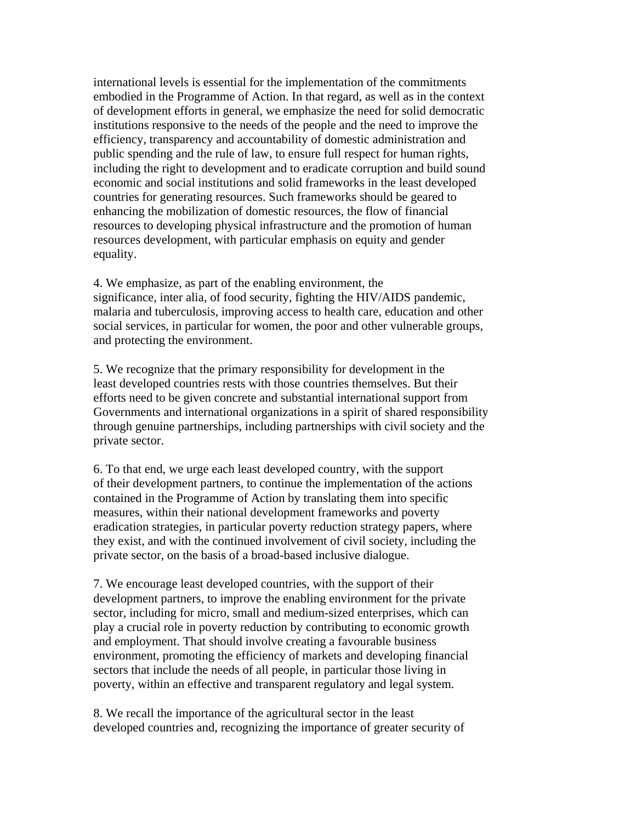international levels is essential for the implementation of the commitments embodied in the Programme of Action. In that regard, as well as in the context of development efforts in general, we emphasize the need for solid democratic institutions responsive to the needs of the people and the need to improve the efficiency, transparency and accountability of domestic administration and public spending and the rule of law, to ensure full respect for human rights, including the right to development and to eradicate corruption and build sound economic and social institutions and solid frameworks in the least developed countries for generating resources. Such frameworks should be geared to enhancing the mobilization of domestic resources, the flow of financial resources to developing physical infrastructure and the promotion of human resources development, with particular emphasis on equity and gender equality.

4. We emphasize, as part of the enabling environment, the significance, inter alia, of food security, fighting the HIV/AIDS pandemic, malaria and tuberculosis, improving access to health care, education and other social services, in particular for women, the poor and other vulnerable groups, and protecting the environment.

5. We recognize that the primary responsibility for development in the least developed countries rests with those countries themselves. But their efforts need to be given concrete and substantial international support from Governments and international organizations in a spirit of shared responsibility through genuine partnerships, including partnerships with civil society and the private sector.

6. To that end, we urge each least developed country, with the support of their development partners, to continue the implementation of the actions contained in the Programme of Action by translating them into specific measures, within their national development frameworks and poverty eradication strategies, in particular poverty reduction strategy papers, where they exist, and with the continued involvement of civil society, including the private sector, on the basis of a broad-based inclusive dialogue.

7. We encourage least developed countries, with the support of their development partners, to improve the enabling environment for the private sector, including for micro, small and medium-sized enterprises, which can play a crucial role in poverty reduction by contributing to economic growth and employment. That should involve creating a favourable business environment, promoting the efficiency of markets and developing financial sectors that include the needs of all people, in particular those living in poverty, within an effective and transparent regulatory and legal system.

8. We recall the importance of the agricultural sector in the least developed countries and, recognizing the importance of greater security of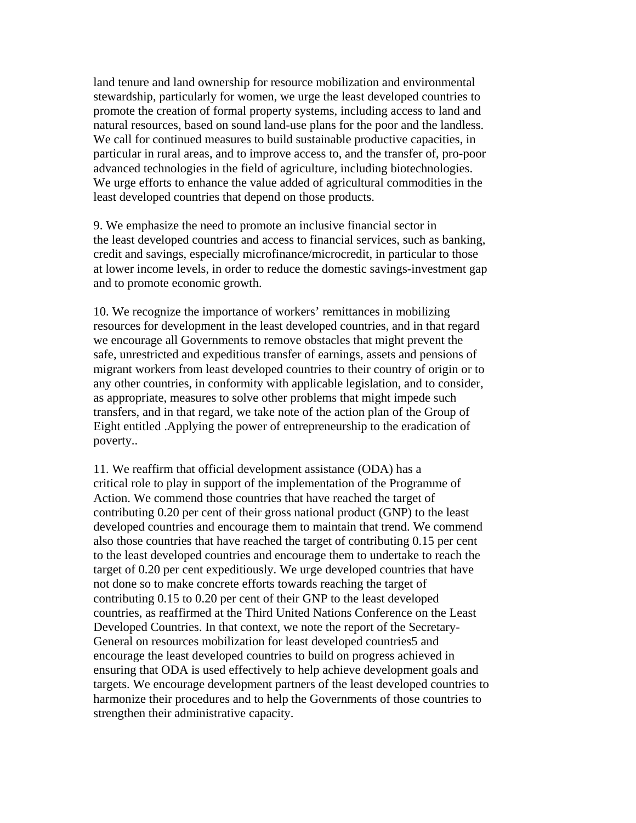land tenure and land ownership for resource mobilization and environmental stewardship, particularly for women, we urge the least developed countries to promote the creation of formal property systems, including access to land and natural resources, based on sound land-use plans for the poor and the landless. We call for continued measures to build sustainable productive capacities, in particular in rural areas, and to improve access to, and the transfer of, pro-poor advanced technologies in the field of agriculture, including biotechnologies. We urge efforts to enhance the value added of agricultural commodities in the least developed countries that depend on those products.

9. We emphasize the need to promote an inclusive financial sector in the least developed countries and access to financial services, such as banking, credit and savings, especially microfinance/microcredit, in particular to those at lower income levels, in order to reduce the domestic savings-investment gap and to promote economic growth.

10. We recognize the importance of workers' remittances in mobilizing resources for development in the least developed countries, and in that regard we encourage all Governments to remove obstacles that might prevent the safe, unrestricted and expeditious transfer of earnings, assets and pensions of migrant workers from least developed countries to their country of origin or to any other countries, in conformity with applicable legislation, and to consider, as appropriate, measures to solve other problems that might impede such transfers, and in that regard, we take note of the action plan of the Group of Eight entitled .Applying the power of entrepreneurship to the eradication of poverty..

11. We reaffirm that official development assistance (ODA) has a critical role to play in support of the implementation of the Programme of Action. We commend those countries that have reached the target of contributing 0.20 per cent of their gross national product (GNP) to the least developed countries and encourage them to maintain that trend. We commend also those countries that have reached the target of contributing 0.15 per cent to the least developed countries and encourage them to undertake to reach the target of 0.20 per cent expeditiously. We urge developed countries that have not done so to make concrete efforts towards reaching the target of contributing 0.15 to 0.20 per cent of their GNP to the least developed countries, as reaffirmed at the Third United Nations Conference on the Least Developed Countries. In that context, we note the report of the Secretary-General on resources mobilization for least developed countries5 and encourage the least developed countries to build on progress achieved in ensuring that ODA is used effectively to help achieve development goals and targets. We encourage development partners of the least developed countries to harmonize their procedures and to help the Governments of those countries to strengthen their administrative capacity.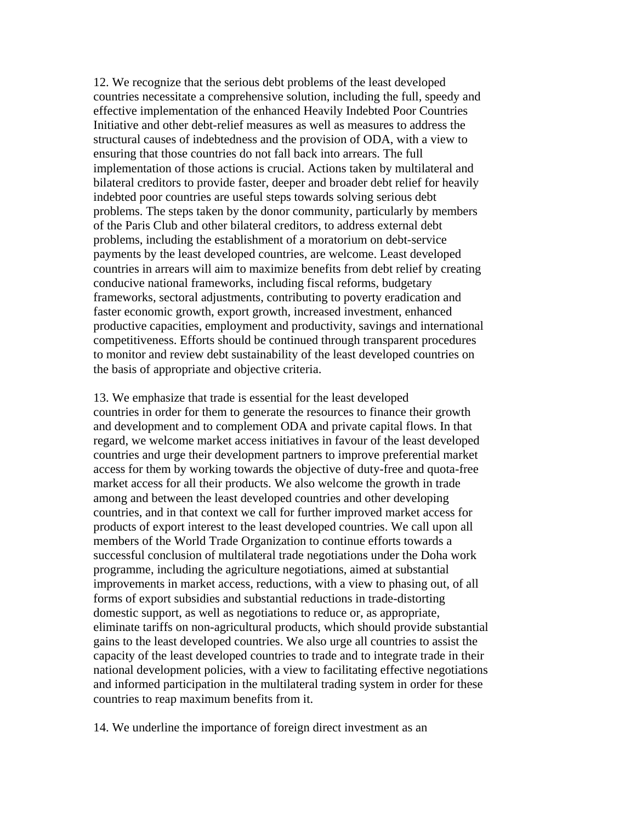12. We recognize that the serious debt problems of the least developed countries necessitate a comprehensive solution, including the full, speedy and effective implementation of the enhanced Heavily Indebted Poor Countries Initiative and other debt-relief measures as well as measures to address the structural causes of indebtedness and the provision of ODA, with a view to ensuring that those countries do not fall back into arrears. The full implementation of those actions is crucial. Actions taken by multilateral and bilateral creditors to provide faster, deeper and broader debt relief for heavily indebted poor countries are useful steps towards solving serious debt problems. The steps taken by the donor community, particularly by members of the Paris Club and other bilateral creditors, to address external debt problems, including the establishment of a moratorium on debt-service payments by the least developed countries, are welcome. Least developed countries in arrears will aim to maximize benefits from debt relief by creating conducive national frameworks, including fiscal reforms, budgetary frameworks, sectoral adjustments, contributing to poverty eradication and faster economic growth, export growth, increased investment, enhanced productive capacities, employment and productivity, savings and international competitiveness. Efforts should be continued through transparent procedures to monitor and review debt sustainability of the least developed countries on the basis of appropriate and objective criteria.

13. We emphasize that trade is essential for the least developed countries in order for them to generate the resources to finance their growth and development and to complement ODA and private capital flows. In that regard, we welcome market access initiatives in favour of the least developed countries and urge their development partners to improve preferential market access for them by working towards the objective of duty-free and quota-free market access for all their products. We also welcome the growth in trade among and between the least developed countries and other developing countries, and in that context we call for further improved market access for products of export interest to the least developed countries. We call upon all members of the World Trade Organization to continue efforts towards a successful conclusion of multilateral trade negotiations under the Doha work programme, including the agriculture negotiations, aimed at substantial improvements in market access, reductions, with a view to phasing out, of all forms of export subsidies and substantial reductions in trade-distorting domestic support, as well as negotiations to reduce or, as appropriate, eliminate tariffs on non-agricultural products, which should provide substantial gains to the least developed countries. We also urge all countries to assist the capacity of the least developed countries to trade and to integrate trade in their national development policies, with a view to facilitating effective negotiations and informed participation in the multilateral trading system in order for these countries to reap maximum benefits from it.

14. We underline the importance of foreign direct investment as an